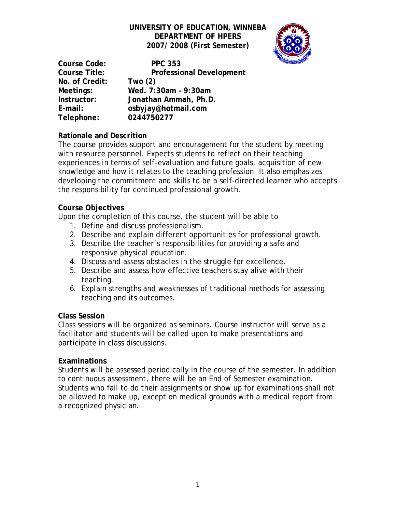# **UNIVERSITY OF EDUCATION, WINNEBA DEPARTMENT OF HPERS 2007/ 2008 (First Semester)**



**Course Code: PPC 353 Course Title: Professional Development No. of Credit: Two (2) Meetings: Wed. 7:30am – 9:30am Instructor: Jonathan Ammah, Ph.D. E-mail: osbyjay@hotmail.com Telephone: 0244750277**

## **Rationale and Descrition**

The course provides support and encouragement for the student by meeting with resource personnel. Expects students to reflect on their teaching experiences in terms of self-evaluation and future goals, acquisition of new knowledge and how it relates to the teaching profession. It also emphasizes developing the commitment and skills to be a self-directed learner who accepts the responsibility for continued professional growth.

### **Course Objectives**

Upon the completion of this course, the student will be able to

- 1. Define and discuss professionalism.
- 2. Describe and explain different opportunities for professional growth.
- 3. Describe the teacher's responsibilities for providing a safe and responsive physical education.
- 4. Discuss and assess obstacles in the struggle for excellence.
- 5. Describe and assess how effective teachers stay alive with their teaching.
- 6. Explain strengths and weaknesses of traditional methods for assessing teaching and its outcomes.

#### **Class Session**

Class sessions will be organized as seminars. Course instructor will serve as a facilitator and students will be called upon to make presentations and participate in class discussions.

## **Examinations**

Students will be assessed periodically in the course of the semester. In addition to continuous assessment, there will be an End of Semester examination. Students who fail to do their assignments or show up for examinations shall not be allowed to make up, except on medical grounds with a medical report from a recognized physician.